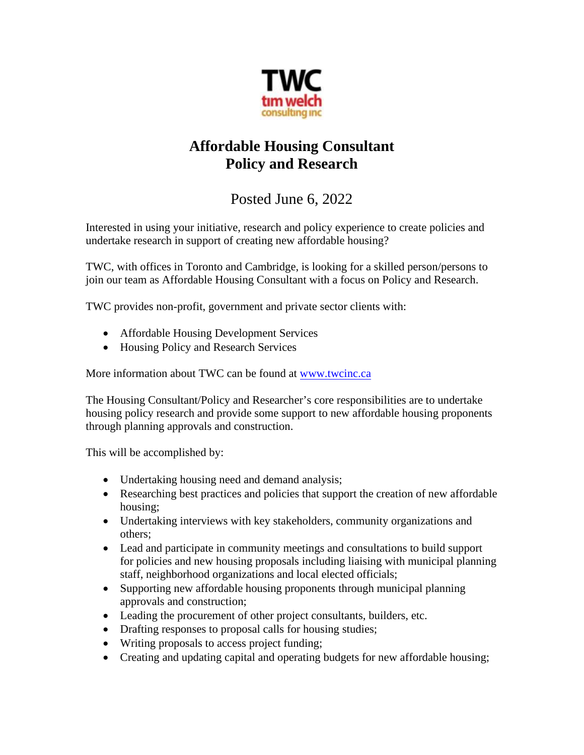

## **Affordable Housing Consultant Policy and Research**

## Posted June 6, 2022

Interested in using your initiative, research and policy experience to create policies and undertake research in support of creating new affordable housing?

TWC, with offices in Toronto and Cambridge, is looking for a skilled person/persons to join our team as Affordable Housing Consultant with a focus on Policy and Research.

TWC provides non-profit, government and private sector clients with:

- Affordable Housing Development Services
- Housing Policy and Research Services

More information about TWC can be found at [www.twcinc.ca](http://www.twcinc.ca/)

The Housing Consultant/Policy and Researcher's core responsibilities are to undertake housing policy research and provide some support to new affordable housing proponents through planning approvals and construction.

This will be accomplished by:

- Undertaking housing need and demand analysis;
- Researching best practices and policies that support the creation of new affordable housing;
- Undertaking interviews with key stakeholders, community organizations and others;
- Lead and participate in community meetings and consultations to build support for policies and new housing proposals including liaising with municipal planning staff, neighborhood organizations and local elected officials;
- Supporting new affordable housing proponents through municipal planning approvals and construction;
- Leading the procurement of other project consultants, builders, etc.
- Drafting responses to proposal calls for housing studies;
- Writing proposals to access project funding;
- Creating and updating capital and operating budgets for new affordable housing;